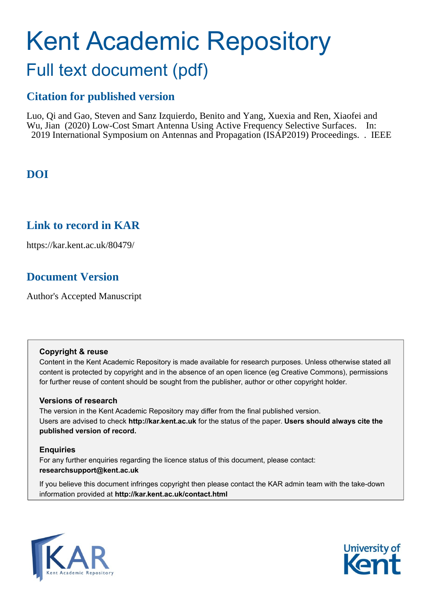# Kent Academic Repository Full text document (pdf)

## **Citation for published version**

Luo, Qi and Gao, Steven and Sanz Izquierdo, Benito and Yang, Xuexia and Ren, Xiaofei and Wu, Jian (2020) Low-Cost Smart Antenna Using Active Frequency Selective Surfaces. In: 2019 International Symposium on Antennas and Propagation (ISAP2019) Proceedings. . IEEE

## **DOI**

### **Link to record in KAR**

https://kar.kent.ac.uk/80479/

## **Document Version**

Author's Accepted Manuscript

### **Copyright & reuse**

Content in the Kent Academic Repository is made available for research purposes. Unless otherwise stated all content is protected by copyright and in the absence of an open licence (eg Creative Commons), permissions for further reuse of content should be sought from the publisher, author or other copyright holder.

### **Versions of research**

The version in the Kent Academic Repository may differ from the final published version. Users are advised to check **http://kar.kent.ac.uk** for the status of the paper. **Users should always cite the published version of record.**

### **Enquiries**

For any further enquiries regarding the licence status of this document, please contact: **researchsupport@kent.ac.uk**

If you believe this document infringes copyright then please contact the KAR admin team with the take-down information provided at **http://kar.kent.ac.uk/contact.html**



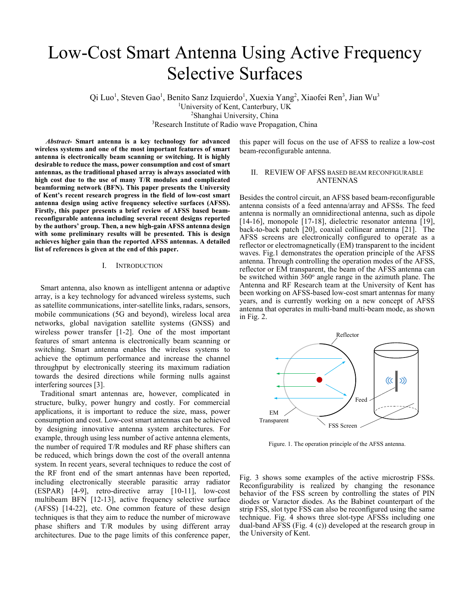## Low-Cost Smart Antenna Using Active Frequency Selective Surfaces

Qi Luo<sup>1</sup>, Steven Gao<sup>1</sup>, Benito Sanz Izquierdo<sup>1</sup>, Xuexia Yang<sup>2</sup>, Xiaofei Ren<sup>3</sup>, Jian Wu<sup>3</sup> <sup>1</sup>University of Kent, Canterbury, UK<br><sup>2</sup>Shanghai University, China <sup>2</sup>Shanghai University, China<br><sup>3</sup>Research Institute of Radio wave Propagation, China

*Abstract-* **Smart antenna is a key technology for advanced wireless systems and one of the most important features of smart antenna is electronically beam scanning or switching. It is highly desirable to reduce the mass, power consumption and cost of smart antennas, as the traditional phased array is always associated with high cost due to the use of many T/R modules and complicated beamforming network (BFN). This paper presents the University of Kent's recent research progress in the field of low-cost smart antenna design using active frequency selective surfaces (AFSS). Firstly, this paper presents a brief review of AFSS based beamreconfigurable antenna including several recent designs reported by the authors' group. Then, a new high-gain AFSS antenna design with some preliminary results will be presented. This is design achieves higher gain than the reported AFSS antennas. A detailed list of references is given at the end of this paper.** 

### I. INTRODUCTION

 Smart antenna, also known as intelligent antenna or adaptive array, is a key technology for advanced wireless systems, such as satellite communications, inter-satellite links, radars, sensors, mobile communications (5G and beyond), wireless local area networks, global navigation satellite systems (GNSS) and wireless power transfer [1-2]. One of the most important features of smart antenna is electronically beam scanning or switching. Smart antenna enables the wireless systems to achieve the optimum performance and increase the channel throughput by electronically steering its maximum radiation towards the desired directions while forming nulls against interfering sources [3].

 Traditional smart antennas are, however, complicated in structure, bulky, power hungry and costly. For commercial applications, it is important to reduce the size, mass, power consumption and cost. Low-cost smart antennas can be achieved by designing innovative antenna system architectures. For example, through using less number of active antenna elements, the number of required T/R modules and RF phase shifters can be reduced, which brings down the cost of the overall antenna system. In recent years, several techniques to reduce the cost of the RF front end of the smart antennas have been reported, including electronically steerable parasitic array radiator (ESPAR) [4-9], retro-directive array [10-11], low-cost multibeam BFN [12-13], active frequency selective surface (AFSS) [14-22], etc. One common feature of these design techniques is that they aim to reduce the number of microwave phase shifters and T/R modules by using different array architectures. Due to the page limits of this conference paper,

this paper will focus on the use of AFSS to realize a low-cost beam-reconfigurable antenna.

### II. REVIEW OF AFSS BASED BEAM RECONFIGURABLE ANTENNAS

Besides the control circuit, an AFSS based beam-reconfigurable antenna consists of a feed antenna/array and AFSSs. The feed antenna is normally an omnidirectional antenna, such as dipole [14-16], monopole [17-18], dielectric resonator antenna [19], back-to-back patch [20], coaxial collinear antenna [21]. The AFSS screens are electronically configured to operate as a reflector or electromagnetically (EM) transparent to the incident waves. Fig.1 demonstrates the operation principle of the AFSS antenna. Through controlling the operation modes of the AFSS, reflector or EM transparent, the beam of the AFSS antenna can be switched within  $360^\circ$  angle range in the azimuth plane. The Antenna and RF Research team at the University of Kent has been working on AFSS-based low-cost smart antennas for many years, and is currently working on a new concept of AFSS antenna that operates in multi-band multi-beam mode, as shown in Fig. 2.



Figure. 1. The operation principle of the AFSS antenna.

Fig. 3 shows some examples of the active microstrip FSSs. Reconfigurability is realized by changing the resonance behavior of the FSS screen by controlling the states of PIN diodes or Varactor diodes. As the Babinet counterpart of the strip FSS, slot type FSS can also be reconfigured using the same technique. Fig. 4 shows three slot-type AFSSs including one dual-band AFSS (Fig. 4 (c)) developed at the research group in the University of Kent.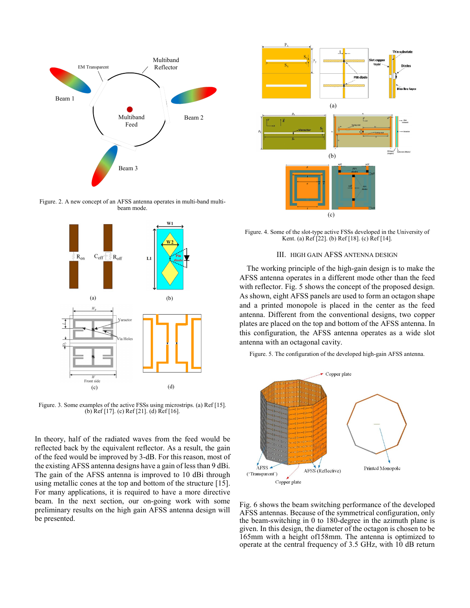

Figure. 2. A new concept of an AFSS antenna operates in multi-band multibeam mode.



Figure. 3. Some examples of the active FSSs using microstrips. (a) Ref [15]. (b) Ref [17]. (c) Ref [21]. (d) Ref [16].

In theory, half of the radiated waves from the feed would be reflected back by the equivalent reflector. As a result, the gain of the feed would be improved by 3-dB. For this reason, most of the existing AFSS antenna designs have a gain of less than 9 dBi. The gain of the AFSS antenna is improved to 10 dBi through using metallic cones at the top and bottom of the structure [15]. For many applications, it is required to have a more directive beam. In the next section, our on-going work with some preliminary results on the high gain AFSS antenna design will be presented.



Figure. 4. Some of the slot-type active FSSs developed in the University of Kent. (a) Ref [22]. (b) Ref [18]. (c) Ref [14].

### III. HIGH GAIN AFSS ANTENNA DESIGN

The working principle of the high-gain design is to make the AFSS antenna operates in a different mode other than the feed with reflector. Fig. 5 shows the concept of the proposed design. As shown, eight AFSS panels are used to form an octagon shape and a printed monopole is placed in the center as the feed antenna. Different from the conventional designs, two copper plates are placed on the top and bottom of the AFSS antenna. In this configuration, the AFSS antenna operates as a wide slot antenna with an octagonal cavity.

Figure. 5. The configuration of the developed high-gain AFSS antenna.



Fig. 6 shows the beam switching performance of the developed AFSS antennas. Because of the symmetrical configuration, only the beam-switching in 0 to 180-degree in the azimuth plane is given. In this design, the diameter of the octagon is chosen to be 165mm with a height of158mm. The antenna is optimized to operate at the central frequency of 3.5 GHz, with 10 dB return